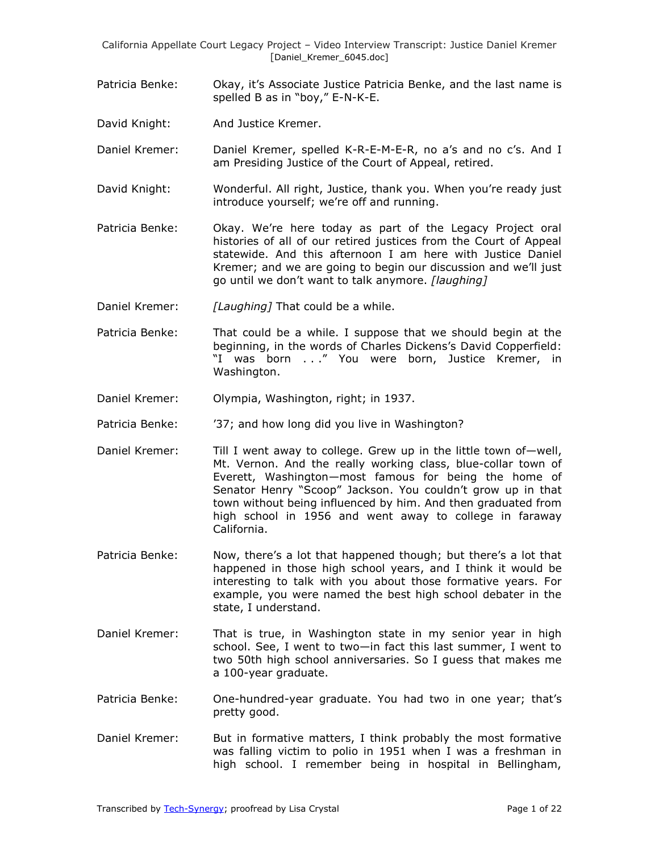- Patricia Benke: Okay, it's Associate Justice Patricia Benke, and the last name is spelled B as in "boy," E-N-K-E.
- David Knight: And Justice Kremer.
- Daniel Kremer: Daniel Kremer, spelled K-R-E-M-E-R, no a's and no c's. And I am Presiding Justice of the Court of Appeal, retired.
- David Knight: Wonderful. All right, Justice, thank you. When you're ready just introduce yourself; we're off and running.
- Patricia Benke: Okay. We're here today as part of the Legacy Project oral histories of all of our retired justices from the Court of Appeal statewide. And this afternoon I am here with Justice Daniel Kremer; and we are going to begin our discussion and we'll just go until we don't want to talk anymore. *[laughing]*
- Daniel Kremer: *[Laughing]* That could be a while.
- Patricia Benke: That could be a while. I suppose that we should begin at the beginning, in the words of Charles Dickens's David Copperfield: "I was born . . ." You were born, Justice Kremer, in Washington.
- Daniel Kremer: Olympia, Washington, right; in 1937.
- Patricia Benke: '37; and how long did you live in Washington?
- Daniel Kremer: Till I went away to college. Grew up in the little town of-well, Mt. Vernon. And the really working class, blue-collar town of Everett, Washington—most famous for being the home of Senator Henry "Scoop" Jackson. You couldn't grow up in that town without being influenced by him. And then graduated from high school in 1956 and went away to college in faraway California.
- Patricia Benke: Now, there's a lot that happened though; but there's a lot that happened in those high school years, and I think it would be interesting to talk with you about those formative years. For example, you were named the best high school debater in the state, I understand.
- Daniel Kremer: That is true, in Washington state in my senior year in high school. See, I went to two—in fact this last summer, I went to two 50th high school anniversaries. So I guess that makes me a 100-year graduate.
- Patricia Benke: One-hundred-year graduate. You had two in one year; that's pretty good.
- Daniel Kremer: But in formative matters, I think probably the most formative was falling victim to polio in 1951 when I was a freshman in high school. I remember being in hospital in Bellingham,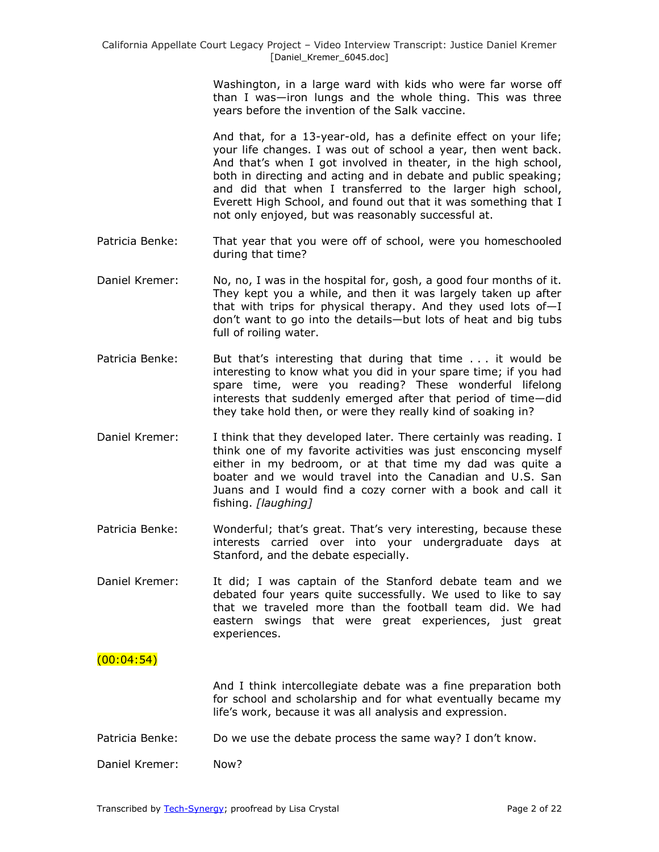Washington, in a large ward with kids who were far worse off than I was—iron lungs and the whole thing. This was three years before the invention of the Salk vaccine.

And that, for a 13-year-old, has a definite effect on your life; your life changes. I was out of school a year, then went back. And that's when I got involved in theater, in the high school, both in directing and acting and in debate and public speaking; and did that when I transferred to the larger high school, Everett High School, and found out that it was something that I not only enjoyed, but was reasonably successful at.

- Patricia Benke: That year that you were off of school, were you homeschooled during that time?
- Daniel Kremer: No, no, I was in the hospital for, gosh, a good four months of it. They kept you a while, and then it was largely taken up after that with trips for physical therapy. And they used lots of—I don't want to go into the details—but lots of heat and big tubs full of roiling water.
- Patricia Benke: But that's interesting that during that time ... it would be interesting to know what you did in your spare time; if you had spare time, were you reading? These wonderful lifelong interests that suddenly emerged after that period of time—did they take hold then, or were they really kind of soaking in?
- Daniel Kremer: I think that they developed later. There certainly was reading. I think one of my favorite activities was just ensconcing myself either in my bedroom, or at that time my dad was quite a boater and we would travel into the Canadian and U.S. San Juans and I would find a cozy corner with a book and call it fishing. *[laughing]*
- Patricia Benke: Wonderful; that's great. That's very interesting, because these interests carried over into your undergraduate days at Stanford, and the debate especially.
- Daniel Kremer: It did; I was captain of the Stanford debate team and we debated four years quite successfully. We used to like to say that we traveled more than the football team did. We had eastern swings that were great experiences, just great experiences.

# $(00:04:54)$

And I think intercollegiate debate was a fine preparation both for school and scholarship and for what eventually became my life's work, because it was all analysis and expression.

Patricia Benke: Do we use the debate process the same way? I don't know.

Daniel Kremer: Now?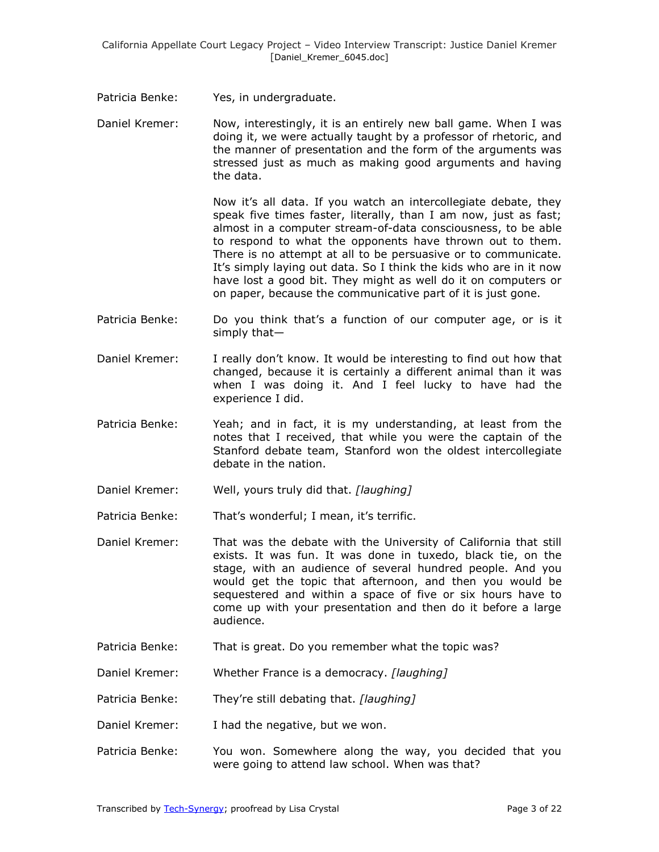Patricia Benke: Yes, in undergraduate.

Daniel Kremer: Now, interestingly, it is an entirely new ball game. When I was doing it, we were actually taught by a professor of rhetoric, and the manner of presentation and the form of the arguments was stressed just as much as making good arguments and having the data.

> Now it's all data. If you watch an intercollegiate debate, they speak five times faster, literally, than I am now, just as fast; almost in a computer stream-of-data consciousness, to be able to respond to what the opponents have thrown out to them. There is no attempt at all to be persuasive or to communicate. It's simply laying out data. So I think the kids who are in it now have lost a good bit. They might as well do it on computers or on paper, because the communicative part of it is just gone.

- Patricia Benke: Do you think that's a function of our computer age, or is it simply that—
- Daniel Kremer: I really don't know. It would be interesting to find out how that changed, because it is certainly a different animal than it was when I was doing it. And I feel lucky to have had the experience I did.
- Patricia Benke: Yeah; and in fact, it is my understanding, at least from the notes that I received, that while you were the captain of the Stanford debate team, Stanford won the oldest intercollegiate debate in the nation.
- Daniel Kremer: Well, yours truly did that. *[laughing]*

Patricia Benke: That's wonderful; I mean, it's terrific.

- Daniel Kremer: That was the debate with the University of California that still exists. It was fun. It was done in tuxedo, black tie, on the stage, with an audience of several hundred people. And you would get the topic that afternoon, and then you would be sequestered and within a space of five or six hours have to come up with your presentation and then do it before a large audience.
- Patricia Benke: That is great. Do you remember what the topic was?

Daniel Kremer: Whether France is a democracy. *[laughing]*

- Patricia Benke: They're still debating that. *[laughing]*
- Daniel Kremer: I had the negative, but we won.
- Patricia Benke: You won. Somewhere along the way, you decided that you were going to attend law school. When was that?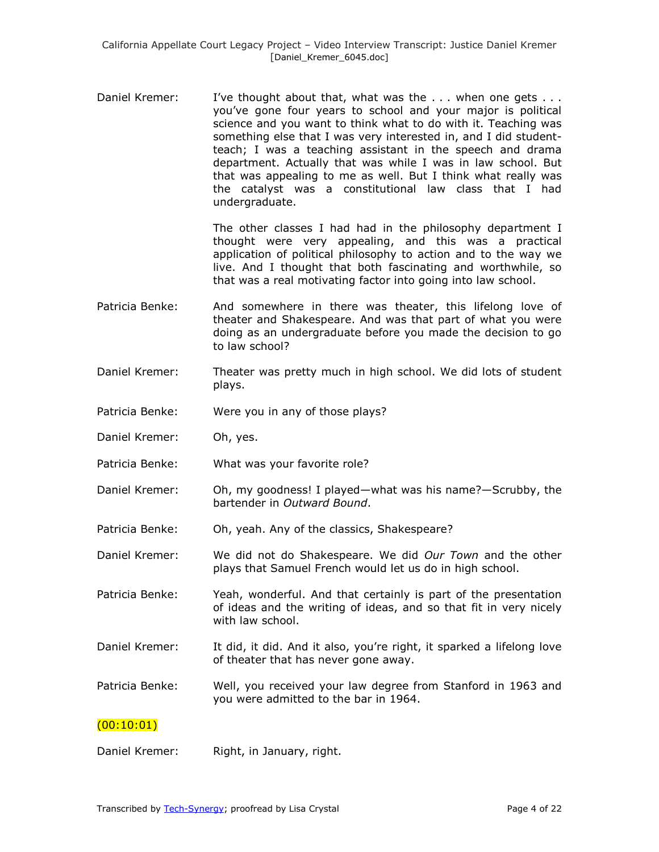Daniel Kremer: I've thought about that, what was the . . . when one gets . . . you've gone four years to school and your major is political science and you want to think what to do with it. Teaching was something else that I was very interested in, and I did studentteach; I was a teaching assistant in the speech and drama department. Actually that was while I was in law school. But that was appealing to me as well. But I think what really was the catalyst was a constitutional law class that I had undergraduate.

> The other classes I had had in the philosophy department I thought were very appealing, and this was a practical application of political philosophy to action and to the way we live. And I thought that both fascinating and worthwhile, so that was a real motivating factor into going into law school.

- Patricia Benke: And somewhere in there was theater, this lifelong love of theater and Shakespeare. And was that part of what you were doing as an undergraduate before you made the decision to go to law school?
- Daniel Kremer: Theater was pretty much in high school. We did lots of student plays.
- Patricia Benke: Were you in any of those plays?
- Daniel Kremer: Oh, yes.
- Patricia Benke: What was your favorite role?
- Daniel Kremer: Oh, my goodness! I played—what was his name?—Scrubby, the bartender in *Outward Bound*.
- Patricia Benke: Oh, yeah. Any of the classics, Shakespeare?
- Daniel Kremer: We did not do Shakespeare. We did *Our Town* and the other plays that Samuel French would let us do in high school.
- Patricia Benke: Yeah, wonderful. And that certainly is part of the presentation of ideas and the writing of ideas, and so that fit in very nicely with law school.
- Daniel Kremer: It did, it did. And it also, you're right, it sparked a lifelong love of theater that has never gone away.
- Patricia Benke: Well, you received your law degree from Stanford in 1963 and you were admitted to the bar in 1964.

### $(00:10:01)$

Daniel Kremer: Right, in January, right.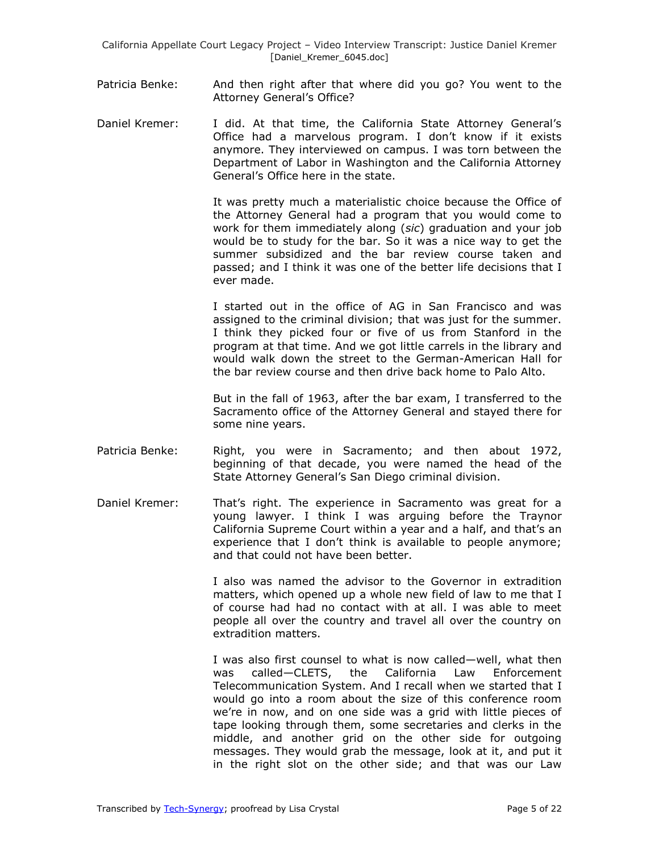- Patricia Benke: And then right after that where did you go? You went to the Attorney General's Office?
- Daniel Kremer: I did. At that time, the California State Attorney General's Office had a marvelous program. I don't know if it exists anymore. They interviewed on campus. I was torn between the Department of Labor in Washington and the California Attorney General's Office here in the state.

It was pretty much a materialistic choice because the Office of the Attorney General had a program that you would come to work for them immediately along (*sic*) graduation and your job would be to study for the bar. So it was a nice way to get the summer subsidized and the bar review course taken and passed; and I think it was one of the better life decisions that I ever made.

I started out in the office of AG in San Francisco and was assigned to the criminal division; that was just for the summer. I think they picked four or five of us from Stanford in the program at that time. And we got little carrels in the library and would walk down the street to the German-American Hall for the bar review course and then drive back home to Palo Alto.

But in the fall of 1963, after the bar exam, I transferred to the Sacramento office of the Attorney General and stayed there for some nine years.

- Patricia Benke: Right, you were in Sacramento; and then about 1972, beginning of that decade, you were named the head of the State Attorney General's San Diego criminal division.
- Daniel Kremer: That's right. The experience in Sacramento was great for a young lawyer. I think I was arguing before the Traynor California Supreme Court within a year and a half, and that's an experience that I don't think is available to people anymore; and that could not have been better.

I also was named the advisor to the Governor in extradition matters, which opened up a whole new field of law to me that I of course had had no contact with at all. I was able to meet people all over the country and travel all over the country on extradition matters.

I was also first counsel to what is now called—well, what then was called—CLETS, the California Law Enforcement Telecommunication System. And I recall when we started that I would go into a room about the size of this conference room we're in now, and on one side was a grid with little pieces of tape looking through them, some secretaries and clerks in the middle, and another grid on the other side for outgoing messages. They would grab the message, look at it, and put it in the right slot on the other side; and that was our Law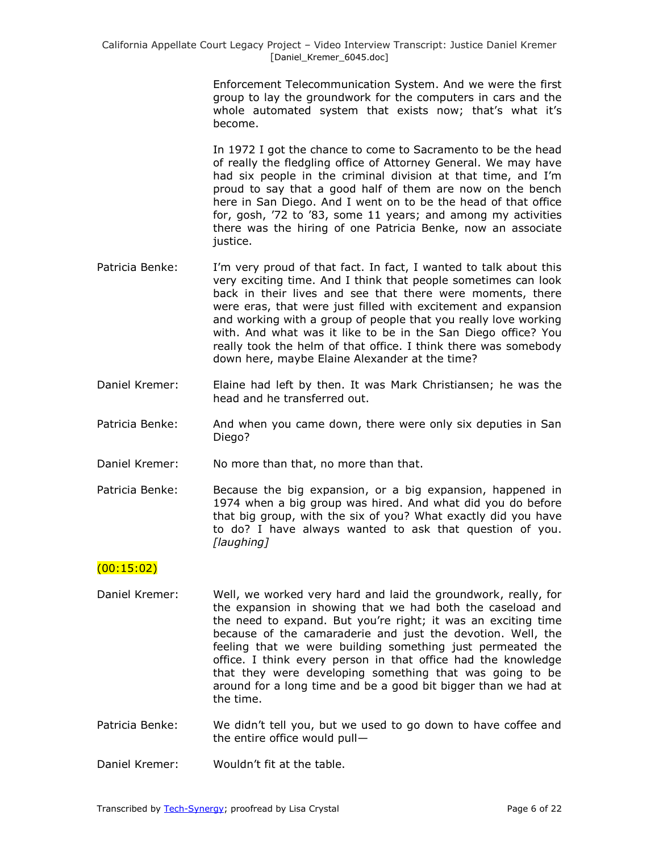Enforcement Telecommunication System. And we were the first group to lay the groundwork for the computers in cars and the whole automated system that exists now; that's what it's become.

In 1972 I got the chance to come to Sacramento to be the head of really the fledgling office of Attorney General. We may have had six people in the criminal division at that time, and I'm proud to say that a good half of them are now on the bench here in San Diego. And I went on to be the head of that office for, gosh, '72 to '83, some 11 years; and among my activities there was the hiring of one Patricia Benke, now an associate justice.

- Patricia Benke: I'm very proud of that fact. In fact, I wanted to talk about this very exciting time. And I think that people sometimes can look back in their lives and see that there were moments, there were eras, that were just filled with excitement and expansion and working with a group of people that you really love working with. And what was it like to be in the San Diego office? You really took the helm of that office. I think there was somebody down here, maybe Elaine Alexander at the time?
- Daniel Kremer: Elaine had left by then. It was Mark Christiansen; he was the head and he transferred out.
- Patricia Benke: And when you came down, there were only six deputies in San Diego?
- Daniel Kremer: No more than that, no more than that.
- Patricia Benke: Because the big expansion, or a big expansion, happened in 1974 when a big group was hired. And what did you do before that big group, with the six of you? What exactly did you have to do? I have always wanted to ask that question of you. *[laughing]*

# $(00:15:02)$

- Daniel Kremer: Well, we worked very hard and laid the groundwork, really, for the expansion in showing that we had both the caseload and the need to expand. But you're right; it was an exciting time because of the camaraderie and just the devotion. Well, the feeling that we were building something just permeated the office. I think every person in that office had the knowledge that they were developing something that was going to be around for a long time and be a good bit bigger than we had at the time.
- Patricia Benke: We didn't tell you, but we used to go down to have coffee and the entire office would pull—
- Daniel Kremer: Wouldn't fit at the table.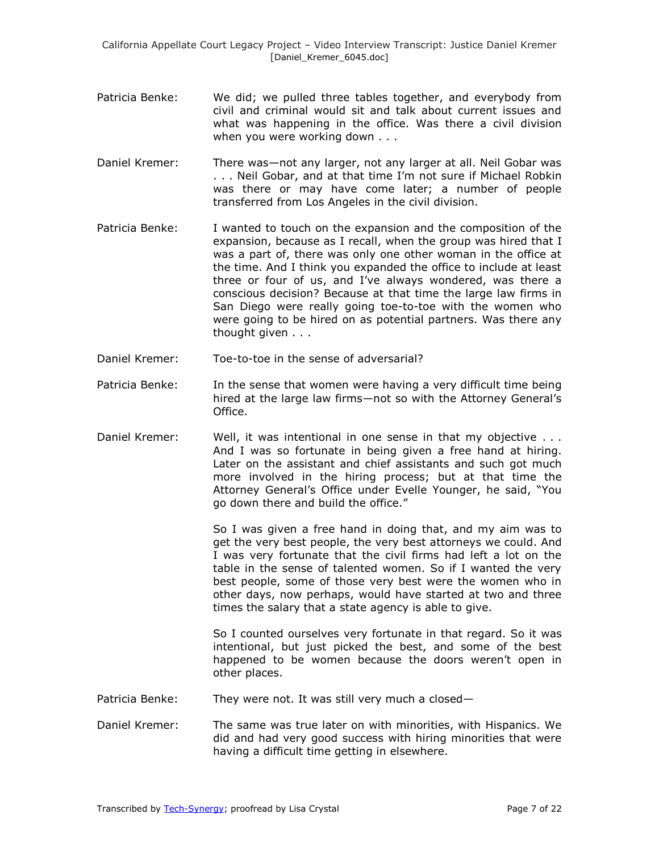- Patricia Benke: We did; we pulled three tables together, and everybody from civil and criminal would sit and talk about current issues and what was happening in the office. Was there a civil division when you were working down . . .
- Daniel Kremer: There was—not any larger, not any larger at all. Neil Gobar was . . . Neil Gobar, and at that time I'm not sure if Michael Robkin was there or may have come later; a number of people transferred from Los Angeles in the civil division.
- Patricia Benke: I wanted to touch on the expansion and the composition of the expansion, because as I recall, when the group was hired that I was a part of, there was only one other woman in the office at the time. And I think you expanded the office to include at least three or four of us, and I've always wondered, was there a conscious decision? Because at that time the large law firms in San Diego were really going toe-to-toe with the women who were going to be hired on as potential partners. Was there any thought given . . .
- Daniel Kremer: Toe-to-toe in the sense of adversarial?
- Patricia Benke: In the sense that women were having a very difficult time being hired at the large law firms—not so with the Attorney General's Office.
- Daniel Kremer: Well, it was intentional in one sense in that my objective ... And I was so fortunate in being given a free hand at hiring. Later on the assistant and chief assistants and such got much more involved in the hiring process; but at that time the Attorney General's Office under Evelle Younger, he said, "You go down there and build the office."

So I was given a free hand in doing that, and my aim was to get the very best people, the very best attorneys we could. And I was very fortunate that the civil firms had left a lot on the table in the sense of talented women. So if I wanted the very best people, some of those very best were the women who in other days, now perhaps, would have started at two and three times the salary that a state agency is able to give.

So I counted ourselves very fortunate in that regard. So it was intentional, but just picked the best, and some of the best happened to be women because the doors weren't open in other places.

- Patricia Benke: They were not. It was still very much a closed-
- Daniel Kremer: The same was true later on with minorities, with Hispanics. We did and had very good success with hiring minorities that were having a difficult time getting in elsewhere.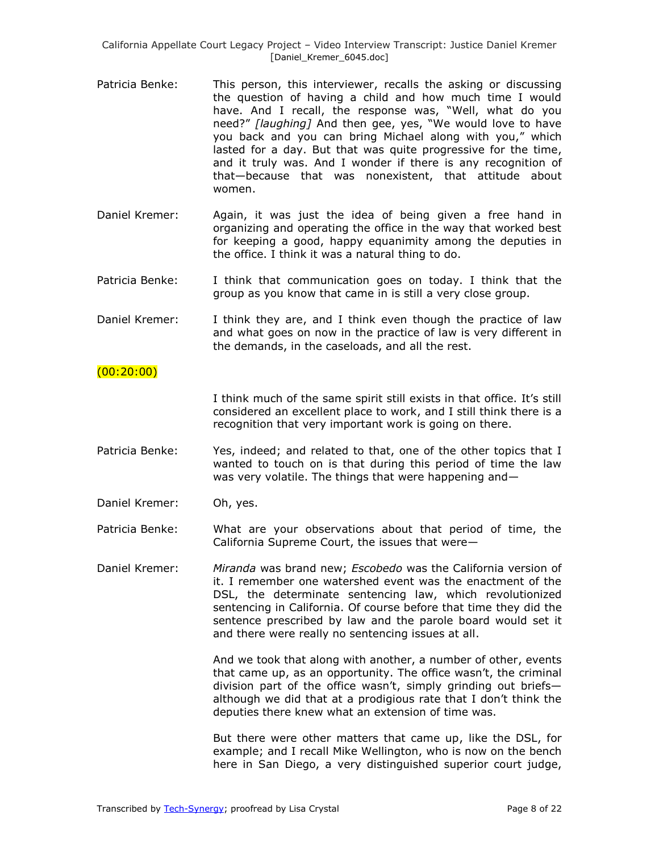- Patricia Benke: This person, this interviewer, recalls the asking or discussing the question of having a child and how much time I would have. And I recall, the response was, "Well, what do you need?" *[laughing]* And then gee, yes, "We would love to have you back and you can bring Michael along with you," which lasted for a day. But that was quite progressive for the time, and it truly was. And I wonder if there is any recognition of that—because that was nonexistent, that attitude about women.
- Daniel Kremer: Again, it was just the idea of being given a free hand in organizing and operating the office in the way that worked best for keeping a good, happy equanimity among the deputies in the office. I think it was a natural thing to do.
- Patricia Benke: I think that communication goes on today. I think that the group as you know that came in is still a very close group.
- Daniel Kremer: I think they are, and I think even though the practice of law and what goes on now in the practice of law is very different in the demands, in the caseloads, and all the rest.

#### $(00:20:00)$

I think much of the same spirit still exists in that office. It's still considered an excellent place to work, and I still think there is a recognition that very important work is going on there.

- Patricia Benke: Yes, indeed; and related to that, one of the other topics that I wanted to touch on is that during this period of time the law was very volatile. The things that were happening and—
- Daniel Kremer: Oh, yes.

Patricia Benke: What are your observations about that period of time, the California Supreme Court, the issues that were—

Daniel Kremer: *Miranda* was brand new; *Escobedo* was the California version of it. I remember one watershed event was the enactment of the DSL, the determinate sentencing law, which revolutionized sentencing in California. Of course before that time they did the sentence prescribed by law and the parole board would set it and there were really no sentencing issues at all.

> And we took that along with another, a number of other, events that came up, as an opportunity. The office wasn't, the criminal division part of the office wasn't, simply grinding out briefs although we did that at a prodigious rate that I don't think the deputies there knew what an extension of time was.

> But there were other matters that came up, like the DSL, for example; and I recall Mike Wellington, who is now on the bench here in San Diego, a very distinguished superior court judge,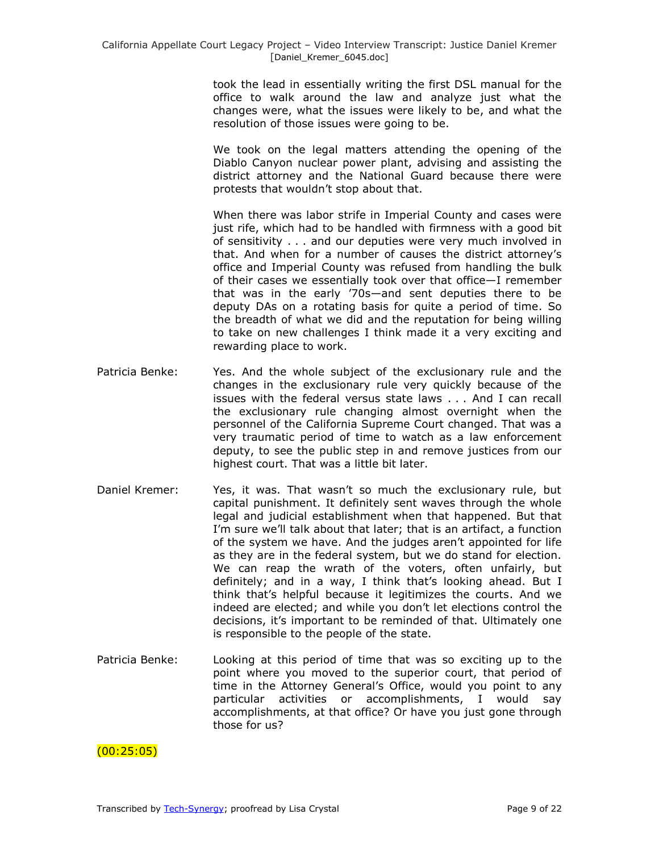took the lead in essentially writing the first DSL manual for the office to walk around the law and analyze just what the changes were, what the issues were likely to be, and what the resolution of those issues were going to be.

We took on the legal matters attending the opening of the Diablo Canyon nuclear power plant, advising and assisting the district attorney and the National Guard because there were protests that wouldn't stop about that.

When there was labor strife in Imperial County and cases were just rife, which had to be handled with firmness with a good bit of sensitivity . . . and our deputies were very much involved in that. And when for a number of causes the district attorney's office and Imperial County was refused from handling the bulk of their cases we essentially took over that office—I remember that was in the early '70s—and sent deputies there to be deputy DAs on a rotating basis for quite a period of time. So the breadth of what we did and the reputation for being willing to take on new challenges I think made it a very exciting and rewarding place to work.

- Patricia Benke: Yes. And the whole subject of the exclusionary rule and the changes in the exclusionary rule very quickly because of the issues with the federal versus state laws . . . And I can recall the exclusionary rule changing almost overnight when the personnel of the California Supreme Court changed. That was a very traumatic period of time to watch as a law enforcement deputy, to see the public step in and remove justices from our highest court. That was a little bit later.
- Daniel Kremer: Yes, it was. That wasn't so much the exclusionary rule, but capital punishment. It definitely sent waves through the whole legal and judicial establishment when that happened. But that I'm sure we'll talk about that later; that is an artifact, a function of the system we have. And the judges aren't appointed for life as they are in the federal system, but we do stand for election. We can reap the wrath of the voters, often unfairly, but definitely; and in a way, I think that's looking ahead. But I think that's helpful because it legitimizes the courts. And we indeed are elected; and while you don't let elections control the decisions, it's important to be reminded of that. Ultimately one is responsible to the people of the state.
- Patricia Benke: Looking at this period of time that was so exciting up to the point where you moved to the superior court, that period of time in the Attorney General's Office, would you point to any particular activities or accomplishments, I would say accomplishments, at that office? Or have you just gone through those for us?

 $(00:25:05)$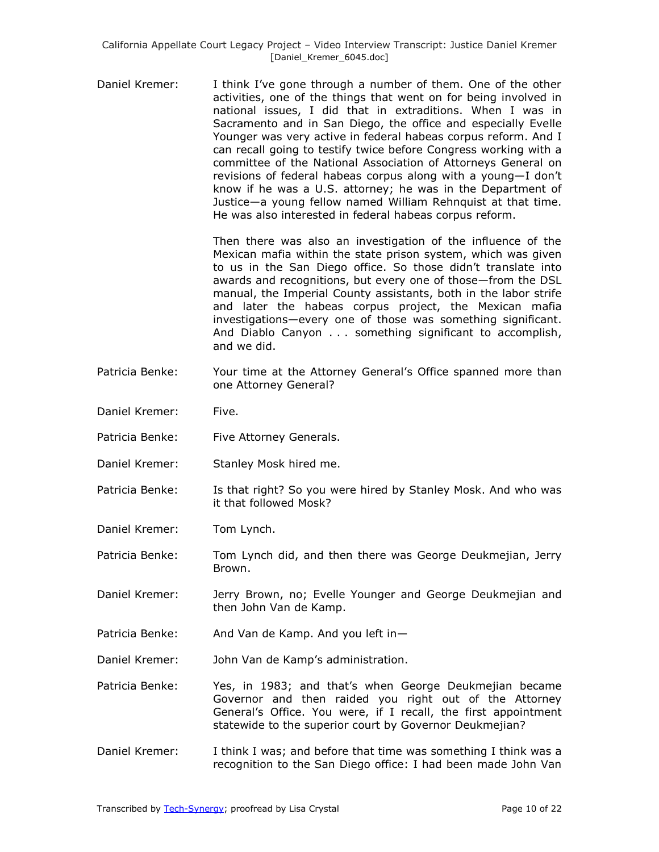Daniel Kremer: I think I've gone through a number of them. One of the other activities, one of the things that went on for being involved in national issues, I did that in extraditions. When I was in Sacramento and in San Diego, the office and especially Evelle Younger was very active in federal habeas corpus reform. And I can recall going to testify twice before Congress working with a committee of the National Association of Attorneys General on revisions of federal habeas corpus along with a young—I don't know if he was a U.S. attorney; he was in the Department of Justice—a young fellow named William Rehnquist at that time. He was also interested in federal habeas corpus reform.

> Then there was also an investigation of the influence of the Mexican mafia within the state prison system, which was given to us in the San Diego office. So those didn't translate into awards and recognitions, but every one of those—from the DSL manual, the Imperial County assistants, both in the labor strife and later the habeas corpus project, the Mexican mafia investigations—every one of those was something significant. And Diablo Canyon . . . something significant to accomplish, and we did.

- Patricia Benke: Your time at the Attorney General's Office spanned more than one Attorney General?
- Daniel Kremer: Five.
- Patricia Benke: Five Attorney Generals.
- Daniel Kremer: Stanley Mosk hired me.
- Patricia Benke: Is that right? So you were hired by Stanley Mosk. And who was it that followed Mosk?
- Daniel Kremer: Tom Lynch.

Patricia Benke: Tom Lynch did, and then there was George Deukmejian, Jerry Brown.

- Daniel Kremer: Jerry Brown, no; Evelle Younger and George Deukmejian and then John Van de Kamp.
- Patricia Benke: And Van de Kamp. And you left in-
- Daniel Kremer: John Van de Kamp's administration.
- Patricia Benke: Yes, in 1983; and that's when George Deukmejian became Governor and then raided you right out of the Attorney General's Office. You were, if I recall, the first appointment statewide to the superior court by Governor Deukmejian?
- Daniel Kremer: I think I was; and before that time was something I think was a recognition to the San Diego office: I had been made John Van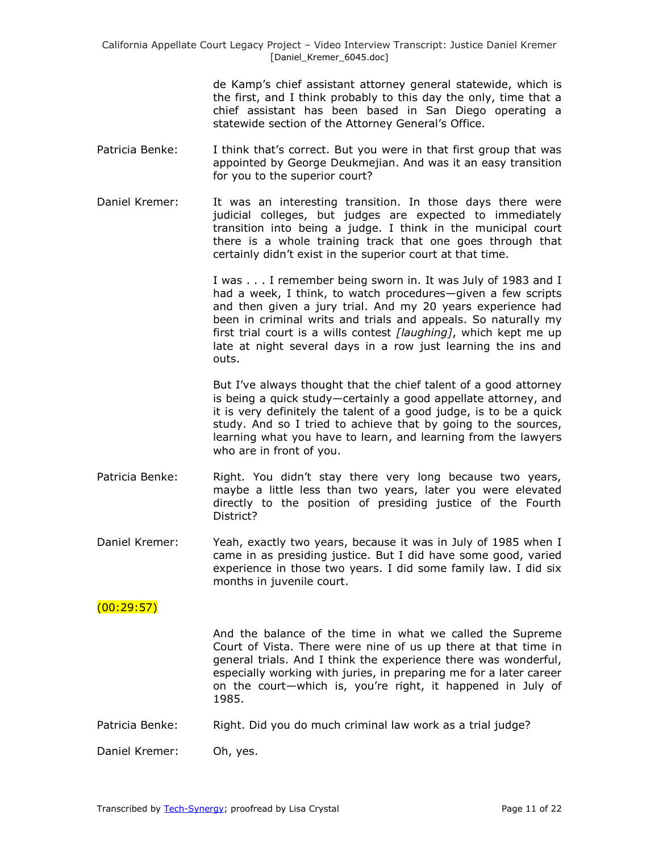de Kamp's chief assistant attorney general statewide, which is the first, and I think probably to this day the only, time that a chief assistant has been based in San Diego operating a statewide section of the Attorney General's Office.

- Patricia Benke: I think that's correct. But you were in that first group that was appointed by George Deukmejian. And was it an easy transition for you to the superior court?
- Daniel Kremer: It was an interesting transition. In those days there were judicial colleges, but judges are expected to immediately transition into being a judge. I think in the municipal court there is a whole training track that one goes through that certainly didn't exist in the superior court at that time.

I was . . . I remember being sworn in. It was July of 1983 and I had a week, I think, to watch procedures—given a few scripts and then given a jury trial. And my 20 years experience had been in criminal writs and trials and appeals. So naturally my first trial court is a wills contest *[laughing]*, which kept me up late at night several days in a row just learning the ins and outs.

But I've always thought that the chief talent of a good attorney is being a quick study—certainly a good appellate attorney, and it is very definitely the talent of a good judge, is to be a quick study. And so I tried to achieve that by going to the sources, learning what you have to learn, and learning from the lawyers who are in front of you.

- Patricia Benke: Right. You didn't stay there very long because two years, maybe a little less than two years, later you were elevated directly to the position of presiding justice of the Fourth District?
- Daniel Kremer: Yeah, exactly two years, because it was in July of 1985 when I came in as presiding justice. But I did have some good, varied experience in those two years. I did some family law. I did six months in juvenile court.

### $(00:29:57)$

And the balance of the time in what we called the Supreme Court of Vista. There were nine of us up there at that time in general trials. And I think the experience there was wonderful, especially working with juries, in preparing me for a later career on the court—which is, you're right, it happened in July of 1985.

Patricia Benke: Right. Did you do much criminal law work as a trial judge?

Daniel Kremer: Oh, yes.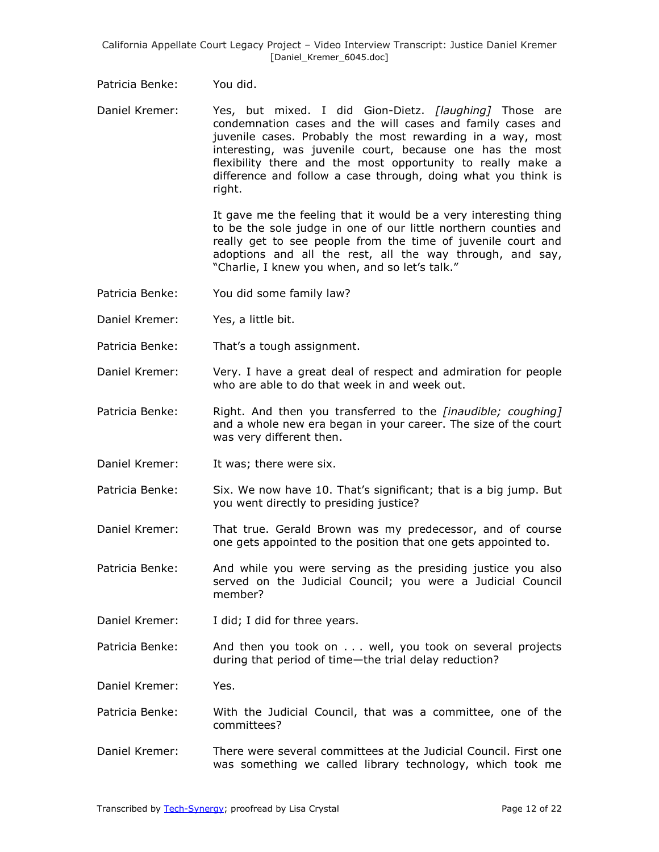Patricia Benke: You did.

Daniel Kremer: Yes, but mixed. I did Gion-Dietz. *[laughing]* Those are condemnation cases and the will cases and family cases and juvenile cases. Probably the most rewarding in a way, most interesting, was juvenile court, because one has the most flexibility there and the most opportunity to really make a difference and follow a case through, doing what you think is right.

> It gave me the feeling that it would be a very interesting thing to be the sole judge in one of our little northern counties and really get to see people from the time of juvenile court and adoptions and all the rest, all the way through, and say, "Charlie, I knew you when, and so let's talk."

- Patricia Benke: You did some family law?
- Daniel Kremer: Yes, a little bit.
- Patricia Benke: That's a tough assignment.
- Daniel Kremer: Very. I have a great deal of respect and admiration for people who are able to do that week in and week out.
- Patricia Benke: Right. And then you transferred to the *[inaudible; coughing]* and a whole new era began in your career. The size of the court was very different then.
- Daniel Kremer: It was; there were six.
- Patricia Benke: Six. We now have 10. That's significant; that is a big jump. But you went directly to presiding justice?
- Daniel Kremer: That true. Gerald Brown was my predecessor, and of course one gets appointed to the position that one gets appointed to.
- Patricia Benke: And while you were serving as the presiding justice you also served on the Judicial Council; you were a Judicial Council member?
- Daniel Kremer: I did; I did for three years.
- Patricia Benke: And then you took on . . . well, you took on several projects during that period of time—the trial delay reduction?

Daniel Kremer: Yes.

- Patricia Benke: With the Judicial Council, that was a committee, one of the committees?
- Daniel Kremer: There were several committees at the Judicial Council. First one was something we called library technology, which took me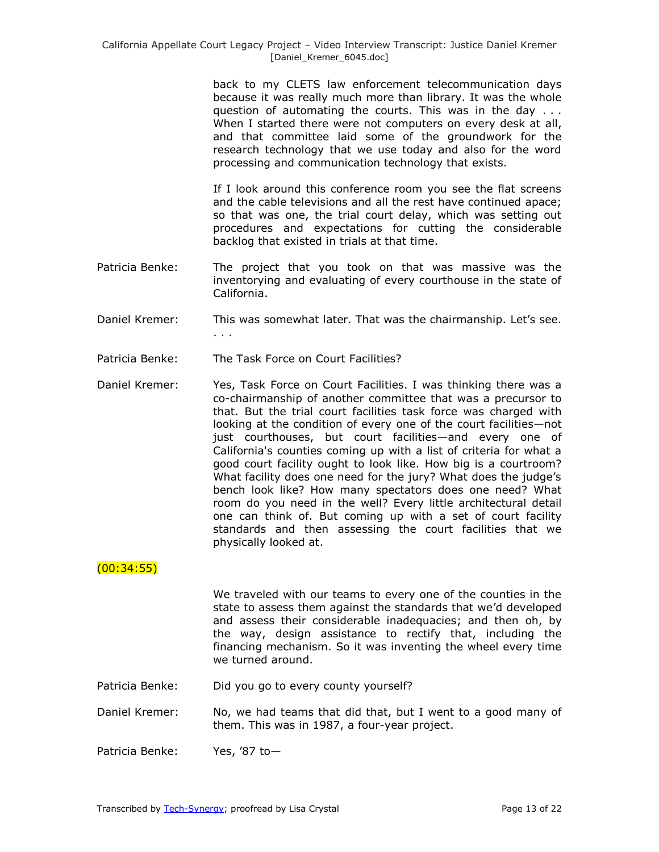back to my CLETS law enforcement telecommunication days because it was really much more than library. It was the whole question of automating the courts. This was in the day . . . When I started there were not computers on every desk at all, and that committee laid some of the groundwork for the research technology that we use today and also for the word processing and communication technology that exists.

If I look around this conference room you see the flat screens and the cable televisions and all the rest have continued apace; so that was one, the trial court delay, which was setting out procedures and expectations for cutting the considerable backlog that existed in trials at that time.

- Patricia Benke: The project that you took on that was massive was the inventorying and evaluating of every courthouse in the state of California.
- Daniel Kremer: This was somewhat later. That was the chairmanship. Let's see. . . .
- Patricia Benke: The Task Force on Court Facilities?
- Daniel Kremer: Yes, Task Force on Court Facilities. I was thinking there was a co-chairmanship of another committee that was a precursor to that. But the trial court facilities task force was charged with looking at the condition of every one of the court facilities—not just courthouses, but court facilities—and every one of California's counties coming up with a list of criteria for what a good court facility ought to look like. How big is a courtroom? What facility does one need for the jury? What does the judge's bench look like? How many spectators does one need? What room do you need in the well? Every little architectural detail one can think of. But coming up with a set of court facility standards and then assessing the court facilities that we physically looked at.

# $(00:34:55)$

We traveled with our teams to every one of the counties in the state to assess them against the standards that we'd developed and assess their considerable inadequacies; and then oh, by the way, design assistance to rectify that, including the financing mechanism. So it was inventing the wheel every time we turned around.

- Patricia Benke: Did you go to every county yourself?
- Daniel Kremer: No, we had teams that did that, but I went to a good many of them. This was in 1987, a four-year project.
- Patricia Benke: Yes, '87 to-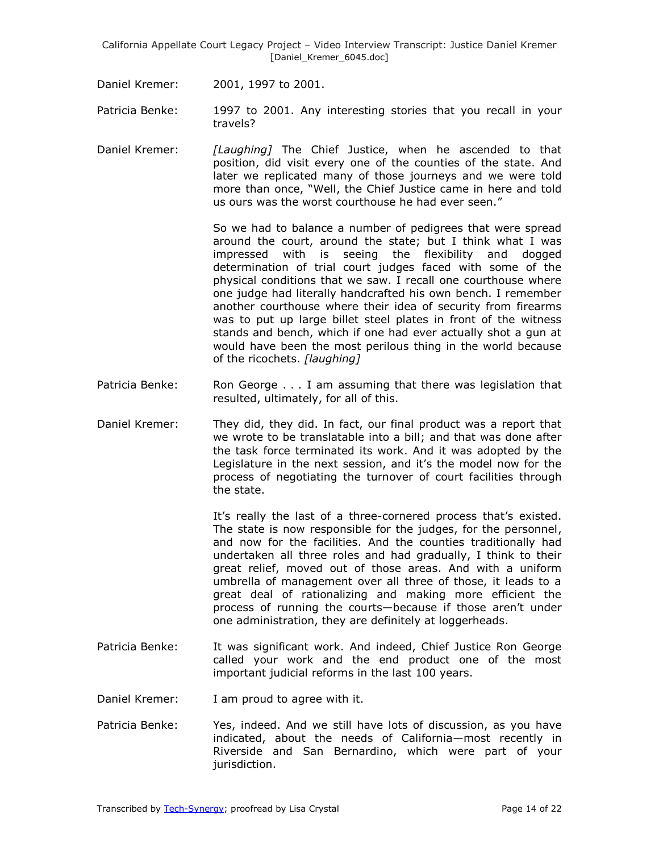Daniel Kremer: 2001, 1997 to 2001.

- Patricia Benke: 1997 to 2001. Any interesting stories that you recall in your travels?
- Daniel Kremer: *[Laughing]* The Chief Justice, when he ascended to that position, did visit every one of the counties of the state. And later we replicated many of those journeys and we were told more than once, "Well, the Chief Justice came in here and told us ours was the worst courthouse he had ever seen."

So we had to balance a number of pedigrees that were spread around the court, around the state; but I think what I was impressed with is seeing the flexibility and dogged determination of trial court judges faced with some of the physical conditions that we saw. I recall one courthouse where one judge had literally handcrafted his own bench. I remember another courthouse where their idea of security from firearms was to put up large billet steel plates in front of the witness stands and bench, which if one had ever actually shot a gun at would have been the most perilous thing in the world because of the ricochets. *[laughing]*

- Patricia Benke: Ron George . . . I am assuming that there was legislation that resulted, ultimately, for all of this.
- Daniel Kremer: They did, they did. In fact, our final product was a report that we wrote to be translatable into a bill; and that was done after the task force terminated its work. And it was adopted by the Legislature in the next session, and it's the model now for the process of negotiating the turnover of court facilities through the state.

It's really the last of a three-cornered process that's existed. The state is now responsible for the judges, for the personnel, and now for the facilities. And the counties traditionally had undertaken all three roles and had gradually, I think to their great relief, moved out of those areas. And with a uniform umbrella of management over all three of those, it leads to a great deal of rationalizing and making more efficient the process of running the courts—because if those aren't under one administration, they are definitely at loggerheads.

- Patricia Benke: It was significant work. And indeed, Chief Justice Ron George called your work and the end product one of the most important judicial reforms in the last 100 years.
- Daniel Kremer: I am proud to agree with it.
- Patricia Benke: Yes, indeed. And we still have lots of discussion, as you have indicated, about the needs of California—most recently in Riverside and San Bernardino, which were part of your jurisdiction.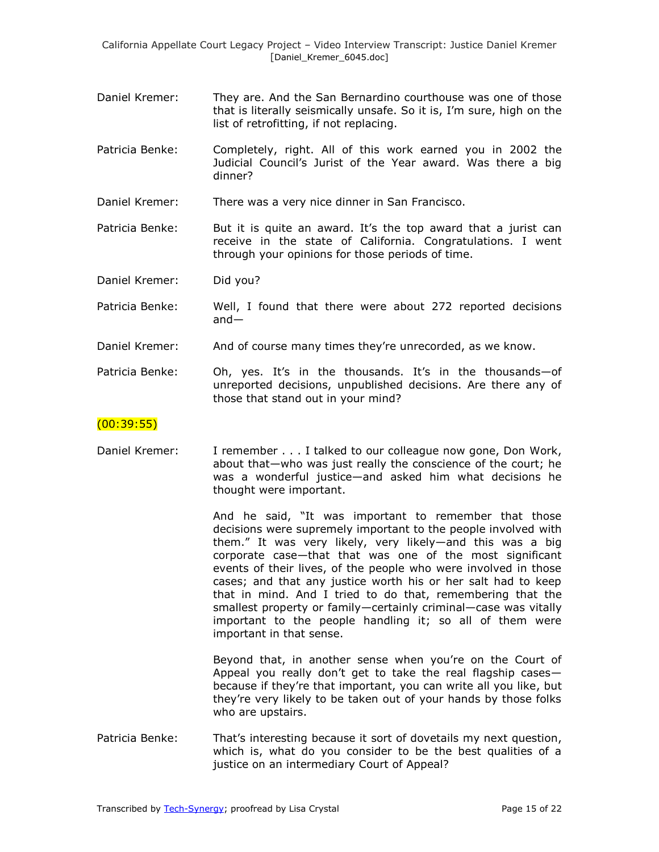- Daniel Kremer: They are. And the San Bernardino courthouse was one of those that is literally seismically unsafe. So it is, I'm sure, high on the list of retrofitting, if not replacing.
- Patricia Benke: Completely, right. All of this work earned you in 2002 the Judicial Council's Jurist of the Year award. Was there a big dinner?
- Daniel Kremer: There was a very nice dinner in San Francisco.
- Patricia Benke: But it is quite an award. It's the top award that a jurist can receive in the state of California. Congratulations. I went through your opinions for those periods of time.

Daniel Kremer: Did you?

- Patricia Benke: Well, I found that there were about 272 reported decisions and—
- Daniel Kremer: And of course many times they're unrecorded, as we know.
- Patricia Benke: Oh, yes. It's in the thousands. It's in the thousands—of unreported decisions, unpublished decisions. Are there any of those that stand out in your mind?

#### $(00:39:55)$

Daniel Kremer: I remember . . . I talked to our colleague now gone, Don Work, about that—who was just really the conscience of the court; he was a wonderful justice—and asked him what decisions he thought were important.

> And he said, "It was important to remember that those decisions were supremely important to the people involved with them.‖ It was very likely, very likely—and this was a big corporate case—that that was one of the most significant events of their lives, of the people who were involved in those cases; and that any justice worth his or her salt had to keep that in mind. And I tried to do that, remembering that the smallest property or family—certainly criminal—case was vitally important to the people handling it; so all of them were important in that sense.

> Beyond that, in another sense when you're on the Court of Appeal you really don't get to take the real flagship cases because if they're that important, you can write all you like, but they're very likely to be taken out of your hands by those folks who are upstairs.

Patricia Benke: That's interesting because it sort of dovetails my next question, which is, what do you consider to be the best qualities of a justice on an intermediary Court of Appeal?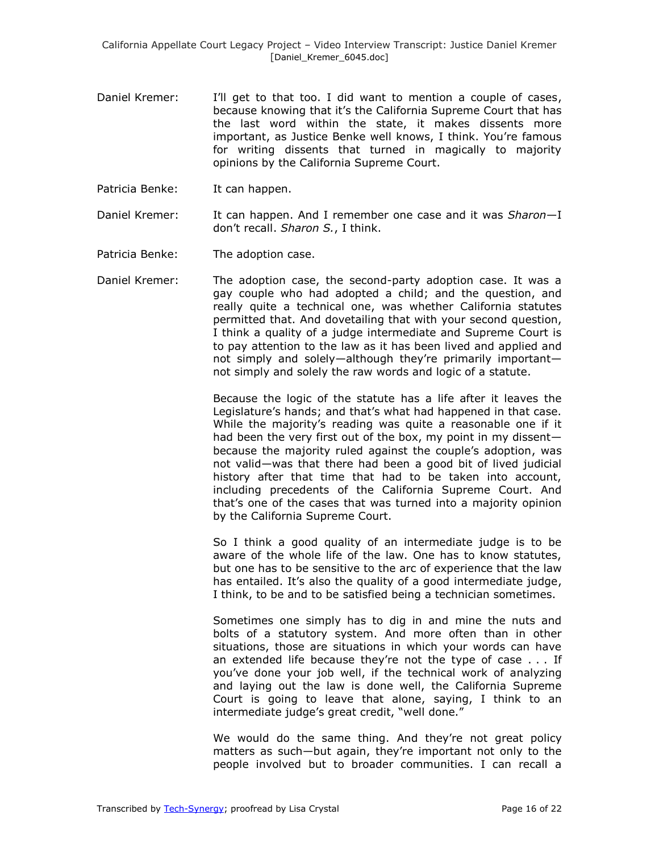- Daniel Kremer: I'll get to that too. I did want to mention a couple of cases, because knowing that it's the California Supreme Court that has the last word within the state, it makes dissents more important, as Justice Benke well knows, I think. You're famous for writing dissents that turned in magically to majority opinions by the California Supreme Court.
- Patricia Benke: It can happen.
- Daniel Kremer: It can happen. And I remember one case and it was *Sharon*—I don't recall. *Sharon S.*, I think.
- Patricia Benke: The adoption case.
- Daniel Kremer: The adoption case, the second-party adoption case. It was a gay couple who had adopted a child; and the question, and really quite a technical one, was whether California statutes permitted that. And dovetailing that with your second question, I think a quality of a judge intermediate and Supreme Court is to pay attention to the law as it has been lived and applied and not simply and solely—although they're primarily important not simply and solely the raw words and logic of a statute.

Because the logic of the statute has a life after it leaves the Legislature's hands; and that's what had happened in that case. While the majority's reading was quite a reasonable one if it had been the very first out of the box, my point in my dissent because the majority ruled against the couple's adoption, was not valid—was that there had been a good bit of lived judicial history after that time that had to be taken into account, including precedents of the California Supreme Court. And that's one of the cases that was turned into a majority opinion by the California Supreme Court.

So I think a good quality of an intermediate judge is to be aware of the whole life of the law. One has to know statutes, but one has to be sensitive to the arc of experience that the law has entailed. It's also the quality of a good intermediate judge, I think, to be and to be satisfied being a technician sometimes.

Sometimes one simply has to dig in and mine the nuts and bolts of a statutory system. And more often than in other situations, those are situations in which your words can have an extended life because they're not the type of case . . . If you've done your job well, if the technical work of analyzing and laying out the law is done well, the California Supreme Court is going to leave that alone, saying, I think to an intermediate judge's great credit, "well done."

We would do the same thing. And they're not great policy matters as such—but again, they're important not only to the people involved but to broader communities. I can recall a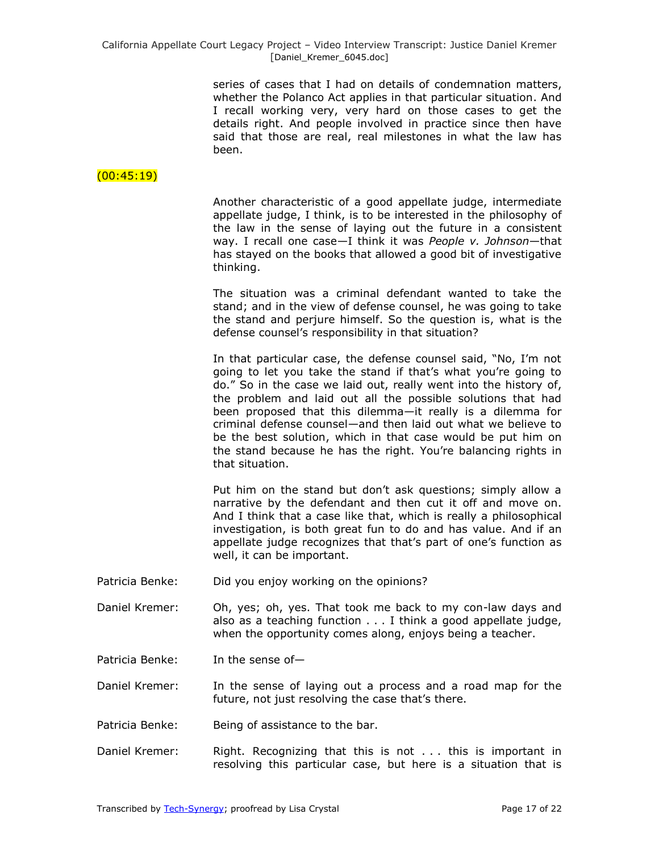series of cases that I had on details of condemnation matters, whether the Polanco Act applies in that particular situation. And I recall working very, very hard on those cases to get the details right. And people involved in practice since then have said that those are real, real milestones in what the law has been.

### $(00:45:19)$

Another characteristic of a good appellate judge, intermediate appellate judge, I think, is to be interested in the philosophy of the law in the sense of laying out the future in a consistent way. I recall one case—I think it was *People v. Johnson*—that has stayed on the books that allowed a good bit of investigative thinking.

The situation was a criminal defendant wanted to take the stand; and in the view of defense counsel, he was going to take the stand and perjure himself. So the question is, what is the defense counsel's responsibility in that situation?

In that particular case, the defense counsel said, "No, I'm not going to let you take the stand if that's what you're going to do." So in the case we laid out, really went into the history of, the problem and laid out all the possible solutions that had been proposed that this dilemma—it really is a dilemma for criminal defense counsel—and then laid out what we believe to be the best solution, which in that case would be put him on the stand because he has the right. You're balancing rights in that situation.

Put him on the stand but don't ask questions; simply allow a narrative by the defendant and then cut it off and move on. And I think that a case like that, which is really a philosophical investigation, is both great fun to do and has value. And if an appellate judge recognizes that that's part of one's function as well, it can be important.

- Patricia Benke: Did you enjoy working on the opinions?
- Daniel Kremer: Oh, yes; oh, yes. That took me back to my con-law days and also as a teaching function . . . I think a good appellate judge, when the opportunity comes along, enjoys being a teacher.
- Patricia Benke: In the sense of-

Daniel Kremer: In the sense of laying out a process and a road map for the future, not just resolving the case that's there.

- Patricia Benke: Being of assistance to the bar.
- Daniel Kremer: Right. Recognizing that this is not . . . this is important in resolving this particular case, but here is a situation that is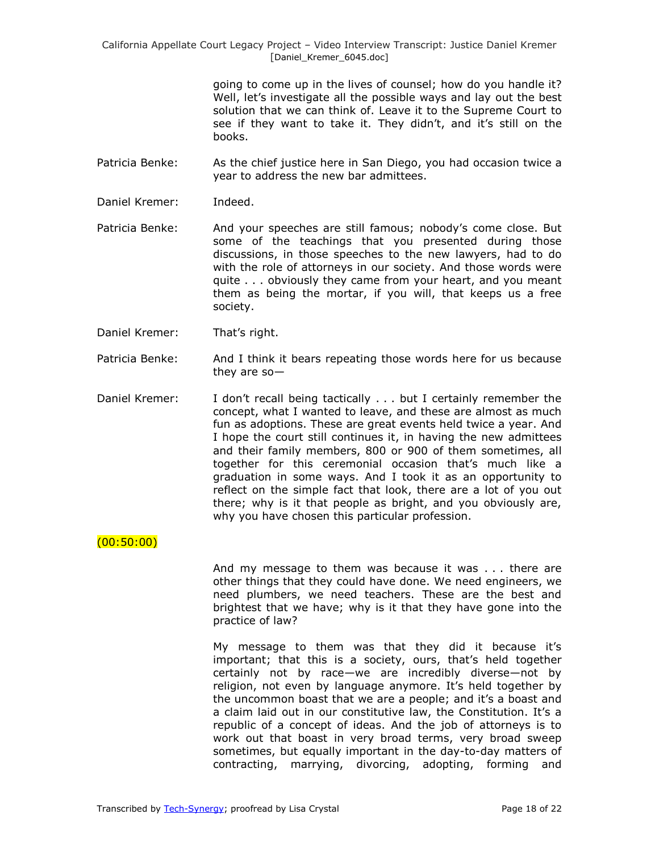> going to come up in the lives of counsel; how do you handle it? Well, let's investigate all the possible ways and lay out the best solution that we can think of. Leave it to the Supreme Court to see if they want to take it. They didn't, and it's still on the books.

- Patricia Benke: As the chief justice here in San Diego, you had occasion twice a year to address the new bar admittees.
- Daniel Kremer: Indeed.
- Patricia Benke: And your speeches are still famous; nobody's come close. But some of the teachings that you presented during those discussions, in those speeches to the new lawyers, had to do with the role of attorneys in our society. And those words were quite . . . obviously they came from your heart, and you meant them as being the mortar, if you will, that keeps us a free society.
- Daniel Kremer: That's right.
- Patricia Benke: And I think it bears repeating those words here for us because they are so—
- Daniel Kremer: I don't recall being tactically . . . but I certainly remember the concept, what I wanted to leave, and these are almost as much fun as adoptions. These are great events held twice a year. And I hope the court still continues it, in having the new admittees and their family members, 800 or 900 of them sometimes, all together for this ceremonial occasion that's much like a graduation in some ways. And I took it as an opportunity to reflect on the simple fact that look, there are a lot of you out there; why is it that people as bright, and you obviously are, why you have chosen this particular profession.

### (00:50:00)

And my message to them was because it was . . . there are other things that they could have done. We need engineers, we need plumbers, we need teachers. These are the best and brightest that we have; why is it that they have gone into the practice of law?

My message to them was that they did it because it's important; that this is a society, ours, that's held together certainly not by race—we are incredibly diverse—not by religion, not even by language anymore. It's held together by the uncommon boast that we are a people; and it's a boast and a claim laid out in our constitutive law, the Constitution. It's a republic of a concept of ideas. And the job of attorneys is to work out that boast in very broad terms, very broad sweep sometimes, but equally important in the day-to-day matters of contracting, marrying, divorcing, adopting, forming and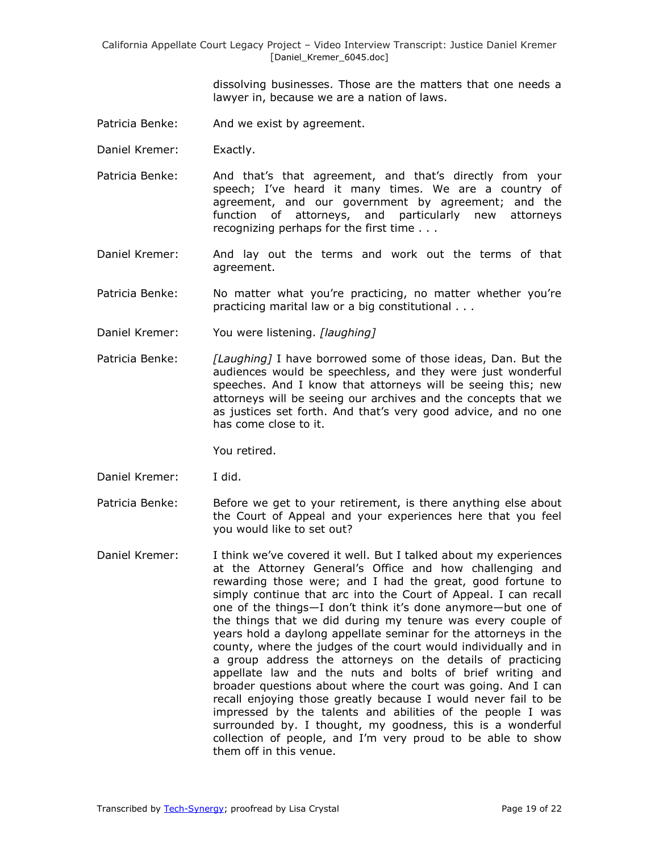> dissolving businesses. Those are the matters that one needs a lawyer in, because we are a nation of laws.

- Patricia Benke: And we exist by agreement.
- Daniel Kremer: Exactly.
- Patricia Benke: And that's that agreement, and that's directly from your speech; I've heard it many times. We are a country of agreement, and our government by agreement; and the function of attorneys, and particularly new attorneys recognizing perhaps for the first time . . .
- Daniel Kremer: And lay out the terms and work out the terms of that agreement.
- Patricia Benke: No matter what you're practicing, no matter whether you're practicing marital law or a big constitutional . . .
- Daniel Kremer: You were listening. *[laughing]*
- Patricia Benke: *[Laughing]* I have borrowed some of those ideas, Dan. But the audiences would be speechless, and they were just wonderful speeches. And I know that attorneys will be seeing this; new attorneys will be seeing our archives and the concepts that we as justices set forth. And that's very good advice, and no one has come close to it.

You retired.

- Daniel Kremer: I did.
- Patricia Benke: Before we get to your retirement, is there anything else about the Court of Appeal and your experiences here that you feel you would like to set out?
- Daniel Kremer: I think we've covered it well. But I talked about my experiences at the Attorney General's Office and how challenging and rewarding those were; and I had the great, good fortune to simply continue that arc into the Court of Appeal. I can recall one of the things—I don't think it's done anymore—but one of the things that we did during my tenure was every couple of years hold a daylong appellate seminar for the attorneys in the county, where the judges of the court would individually and in a group address the attorneys on the details of practicing appellate law and the nuts and bolts of brief writing and broader questions about where the court was going. And I can recall enjoying those greatly because I would never fail to be impressed by the talents and abilities of the people I was surrounded by. I thought, my goodness, this is a wonderful collection of people, and I'm very proud to be able to show them off in this venue.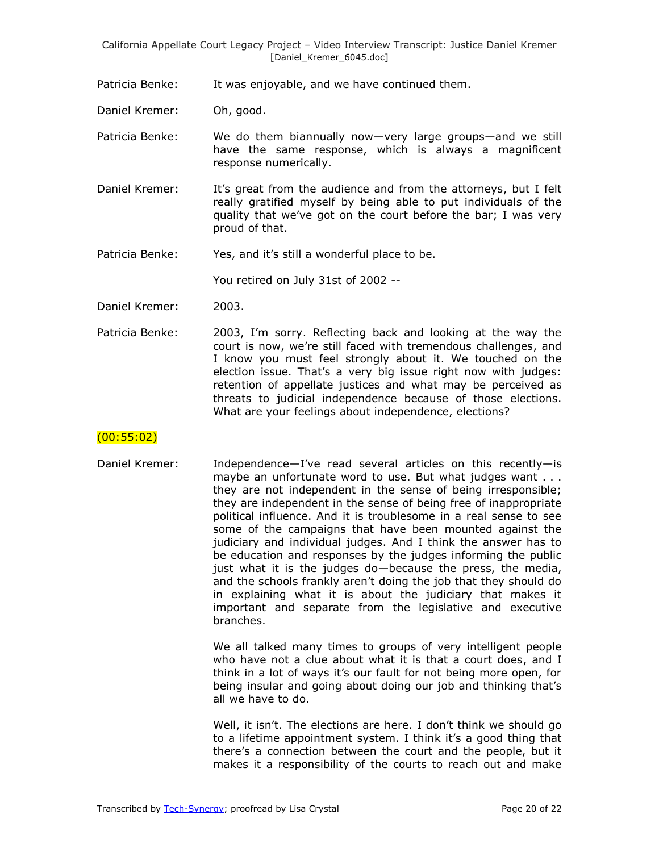Patricia Benke: It was enjoyable, and we have continued them.

Daniel Kremer: Oh, good.

Patricia Benke: We do them biannually now—very large groups—and we still have the same response, which is always a magnificent response numerically.

- Daniel Kremer: It's great from the audience and from the attorneys, but I felt really gratified myself by being able to put individuals of the quality that we've got on the court before the bar; I was very proud of that.
- Patricia Benke: Yes, and it's still a wonderful place to be.

You retired on July 31st of 2002 --

- Daniel Kremer: 2003.
- Patricia Benke: 2003, I'm sorry. Reflecting back and looking at the way the court is now, we're still faced with tremendous challenges, and I know you must feel strongly about it. We touched on the election issue. That's a very big issue right now with judges: retention of appellate justices and what may be perceived as threats to judicial independence because of those elections. What are your feelings about independence, elections?

# (00:55:02)

Daniel Kremer: Independence—I've read several articles on this recently—is maybe an unfortunate word to use. But what judges want . . . they are not independent in the sense of being irresponsible; they are independent in the sense of being free of inappropriate political influence. And it is troublesome in a real sense to see some of the campaigns that have been mounted against the judiciary and individual judges. And I think the answer has to be education and responses by the judges informing the public just what it is the judges do—because the press, the media, and the schools frankly aren't doing the job that they should do in explaining what it is about the judiciary that makes it important and separate from the legislative and executive branches.

> We all talked many times to groups of very intelligent people who have not a clue about what it is that a court does, and I think in a lot of ways it's our fault for not being more open, for being insular and going about doing our job and thinking that's all we have to do.

> Well, it isn't. The elections are here. I don't think we should go to a lifetime appointment system. I think it's a good thing that there's a connection between the court and the people, but it makes it a responsibility of the courts to reach out and make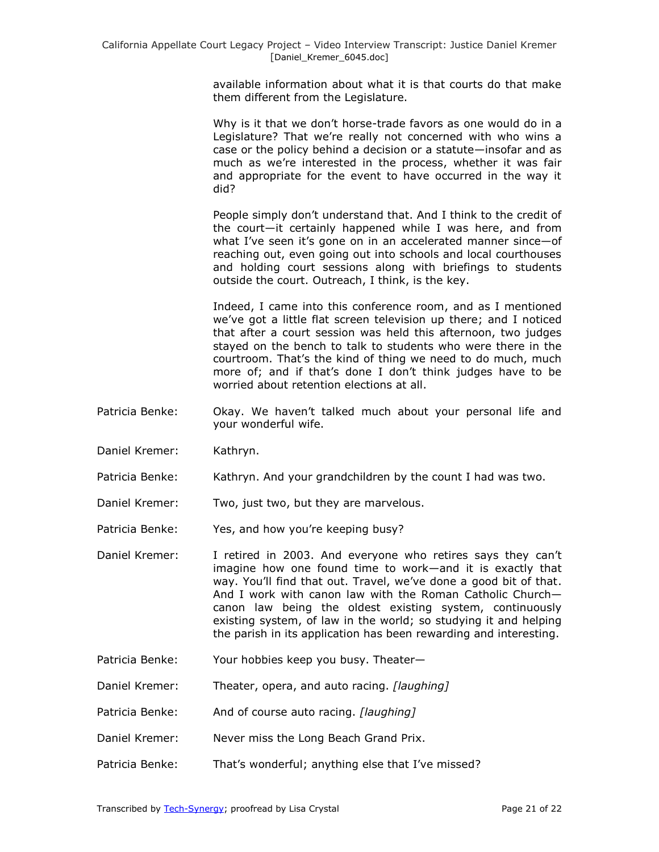available information about what it is that courts do that make them different from the Legislature.

Why is it that we don't horse-trade favors as one would do in a Legislature? That we're really not concerned with who wins a case or the policy behind a decision or a statute—insofar and as much as we're interested in the process, whether it was fair and appropriate for the event to have occurred in the way it did?

People simply don't understand that. And I think to the credit of the court—it certainly happened while I was here, and from what I've seen it's gone on in an accelerated manner since—of reaching out, even going out into schools and local courthouses and holding court sessions along with briefings to students outside the court. Outreach, I think, is the key.

Indeed, I came into this conference room, and as I mentioned we've got a little flat screen television up there; and I noticed that after a court session was held this afternoon, two judges stayed on the bench to talk to students who were there in the courtroom. That's the kind of thing we need to do much, much more of; and if that's done I don't think judges have to be worried about retention elections at all.

- Patricia Benke: Okay. We haven't talked much about your personal life and your wonderful wife.
- Daniel Kremer: Kathryn.
- Patricia Benke: Kathryn. And your grandchildren by the count I had was two.

Daniel Kremer: Two, just two, but they are marvelous.

Patricia Benke: Yes, and how you're keeping busy?

- Daniel Kremer: I retired in 2003. And everyone who retires says they can't imagine how one found time to work—and it is exactly that way. You'll find that out. Travel, we've done a good bit of that. And I work with canon law with the Roman Catholic Church canon law being the oldest existing system, continuously existing system, of law in the world; so studying it and helping the parish in its application has been rewarding and interesting.
- Patricia Benke: Your hobbies keep you busy. Theater—
- Daniel Kremer: Theater, opera, and auto racing. *[laughing]*
- Patricia Benke: And of course auto racing. *[laughing]*
- Daniel Kremer: Never miss the Long Beach Grand Prix.
- Patricia Benke: That's wonderful; anything else that I've missed?